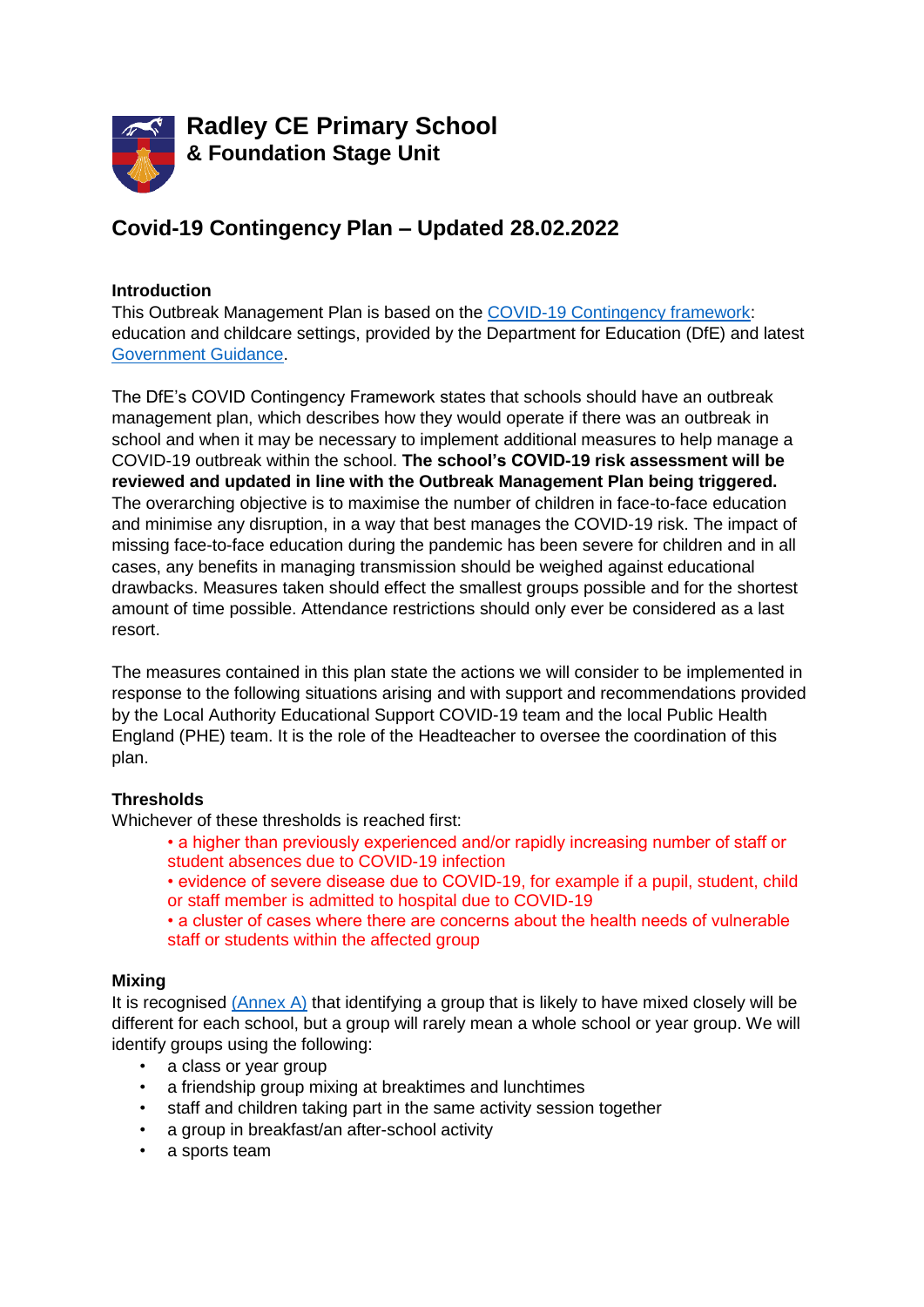

# **Covid-19 Contingency Plan – Updated 28.02.2022**

#### **Introduction**

This Outbreak Management Plan is based on the [COVID-19 Contingency framework:](https://assets.publishing.service.gov.uk/government/uploads/system/uploads/attachment_data/file/1057141/Contingency_framework_education_and_childcare_settings_February_2022.pdf) education and childcare settings, provided by the Department for Education (DfE) and latest [Government Guidance.](https://www.gov.uk/government/publications/coronavirus-covid-19-local-restrictions-in-education-and-childcare-settings)

The DfE's COVID Contingency Framework states that schools should have an outbreak management plan, which describes how they would operate if there was an outbreak in school and when it may be necessary to implement additional measures to help manage a COVID-19 outbreak within the school. **The school's COVID-19 risk assessment will be reviewed and updated in line with the Outbreak Management Plan being triggered.** The overarching objective is to maximise the number of children in face-to-face education and minimise any disruption, in a way that best manages the COVID-19 risk. The impact of missing face-to-face education during the pandemic has been severe for children and in all cases, any benefits in managing transmission should be weighed against educational drawbacks. Measures taken should effect the smallest groups possible and for the shortest amount of time possible. Attendance restrictions should only ever be considered as a last resort.

The measures contained in this plan state the actions we will consider to be implemented in response to the following situations arising and with support and recommendations provided by the Local Authority Educational Support COVID-19 team and the local Public Health England (PHE) team. It is the role of the Headteacher to oversee the coordination of this plan.

#### **Thresholds**

Whichever of these thresholds is reached first:

- a higher than previously experienced and/or rapidly increasing number of staff or student absences due to COVID-19 infection
- evidence of severe disease due to COVID-19, for example if a pupil, student, child or staff member is admitted to hospital due to COVID-19

• a cluster of cases where there are concerns about the health needs of vulnerable staff or students within the affected group

#### **Mixing**

It is recognised [\(Annex A\)](https://assets.publishing.service.gov.uk/government/uploads/system/uploads/attachment_data/file/1057141/Contingency_framework_education_and_childcare_settings_February_2022.pdf) that identifying a group that is likely to have mixed closely will be different for each school, but a group will rarely mean a whole school or year group. We will identify groups using the following:

- a class or year group
- a friendship group mixing at breaktimes and lunchtimes
- staff and children taking part in the same activity session together
- a group in breakfast/an after-school activity
- a sports team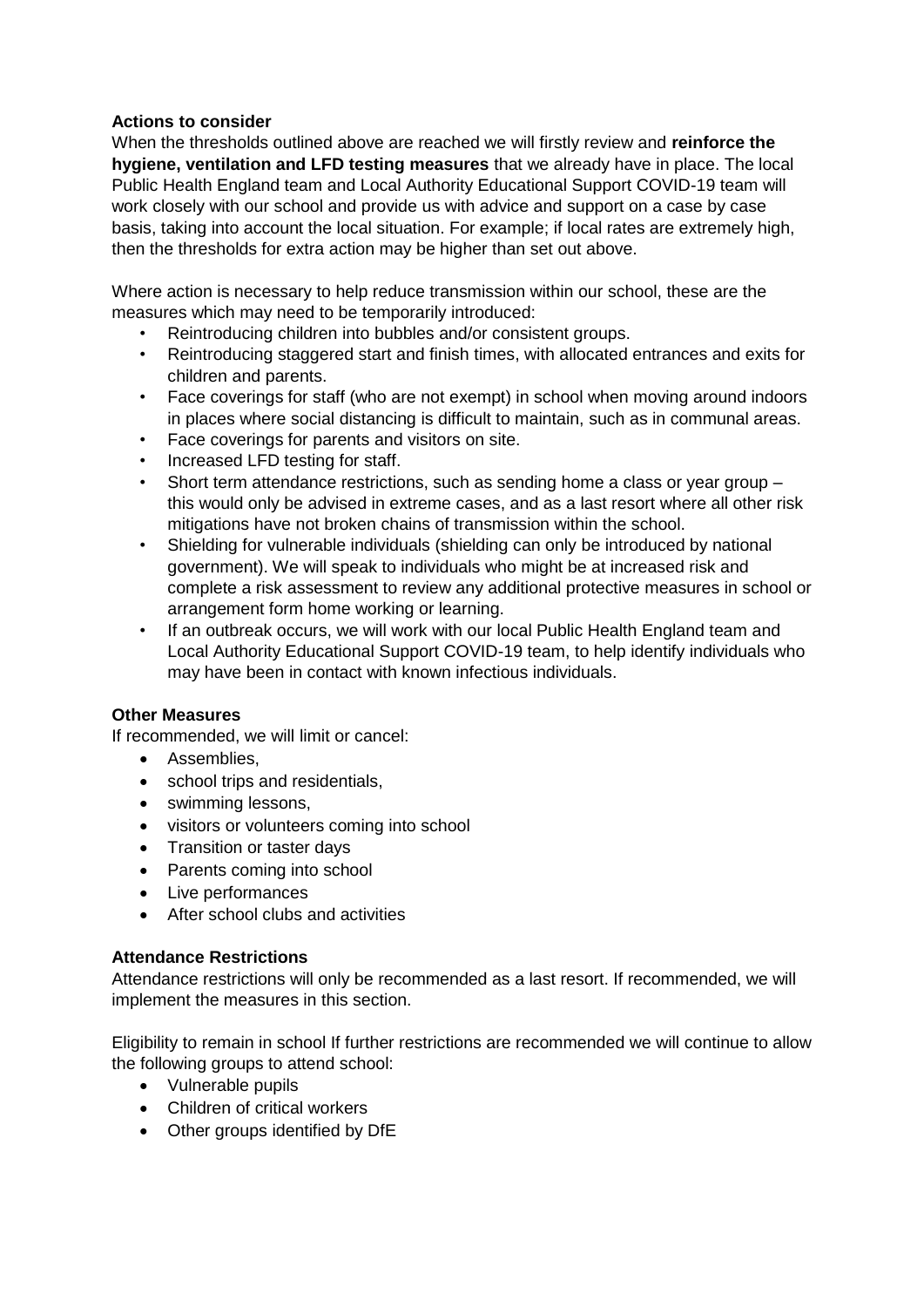## **Actions to consider**

When the thresholds outlined above are reached we will firstly review and **reinforce the hygiene, ventilation and LFD testing measures** that we already have in place. The local Public Health England team and Local Authority Educational Support COVID-19 team will work closely with our school and provide us with advice and support on a case by case basis, taking into account the local situation. For example; if local rates are extremely high, then the thresholds for extra action may be higher than set out above.

Where action is necessary to help reduce transmission within our school, these are the measures which may need to be temporarily introduced:

- Reintroducing children into bubbles and/or consistent groups.
- Reintroducing staggered start and finish times, with allocated entrances and exits for children and parents.
- Face coverings for staff (who are not exempt) in school when moving around indoors in places where social distancing is difficult to maintain, such as in communal areas.
- Face coverings for parents and visitors on site.
- Increased LFD testing for staff.
- Short term attendance restrictions, such as sending home a class or year group this would only be advised in extreme cases, and as a last resort where all other risk mitigations have not broken chains of transmission within the school.
- Shielding for vulnerable individuals (shielding can only be introduced by national government). We will speak to individuals who might be at increased risk and complete a risk assessment to review any additional protective measures in school or arrangement form home working or learning.
- If an outbreak occurs, we will work with our local Public Health England team and Local Authority Educational Support COVID-19 team, to help identify individuals who may have been in contact with known infectious individuals.

#### **Other Measures**

If recommended, we will limit or cancel:

- Assemblies,
- school trips and residentials,
- swimming lessons,
- visitors or volunteers coming into school
- Transition or taster days
- Parents coming into school
- Live performances
- After school clubs and activities

#### **Attendance Restrictions**

Attendance restrictions will only be recommended as a last resort. If recommended, we will implement the measures in this section.

Eligibility to remain in school If further restrictions are recommended we will continue to allow the following groups to attend school:

- Vulnerable pupils
- Children of critical workers
- Other groups identified by DfE